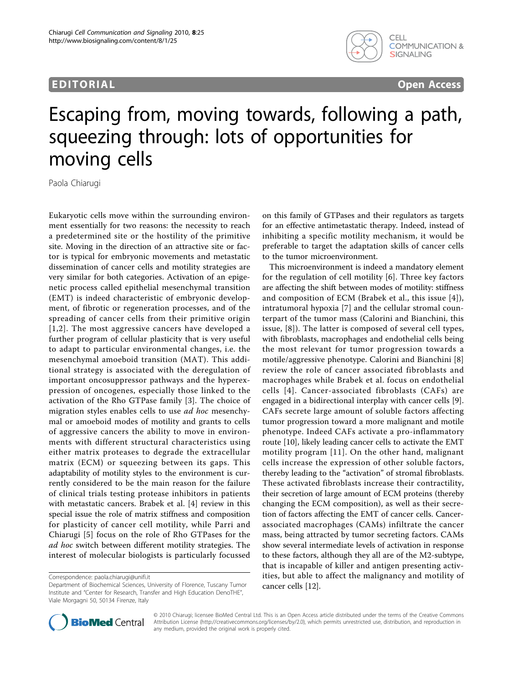## EDITORIAL CONTRACT CONTRACT CONTRACT CONTRACT CONTRACT CONTRACT CONTRACT CONTRACT CONTRACT CONTRACT CONTRACT CO



# Escaping from, moving towards, following a path, squeezing through: lots of opportunities for moving cells

Paola Chiarugi

Eukaryotic cells move within the surrounding environment essentially for two reasons: the necessity to reach a predetermined site or the hostility of the primitive site. Moving in the direction of an attractive site or factor is typical for embryonic movements and metastatic dissemination of cancer cells and motility strategies are very similar for both categories. Activation of an epigenetic process called epithelial mesenchymal transition (EMT) is indeed characteristic of embryonic development, of fibrotic or regeneration processes, and of the spreading of cancer cells from their primitive origin [[1,2](#page-1-0)]. The most aggressive cancers have developed a further program of cellular plasticity that is very useful to adapt to particular environmental changes, i.e. the mesenchymal amoeboid transition (MAT). This additional strategy is associated with the deregulation of important oncosuppressor pathways and the hyperexpression of oncogenes, especially those linked to the activation of the Rho GTPase family [[3](#page-1-0)]. The choice of migration styles enables cells to use ad hoc mesenchymal or amoeboid modes of motility and grants to cells of aggressive cancers the ability to move in environments with different structural characteristics using either matrix proteases to degrade the extracellular matrix (ECM) or squeezing between its gaps. This adaptability of motility styles to the environment is currently considered to be the main reason for the failure of clinical trials testing protease inhibitors in patients with metastatic cancers. Brabek et al. [\[4\]](#page-1-0) review in this special issue the role of matrix stiffness and composition for plasticity of cancer cell motility, while Parri and Chiarugi [[5](#page-1-0)] focus on the role of Rho GTPases for the ad hoc switch between different motility strategies. The interest of molecular biologists is particularly focussed

on this family of GTPases and their regulators as targets for an effective antimetastatic therapy. Indeed, instead of inhibiting a specific motility mechanism, it would be preferable to target the adaptation skills of cancer cells to the tumor microenvironment.

This microenvironment is indeed a mandatory element for the regulation of cell motility [[6\]](#page-1-0). Three key factors are affecting the shift between modes of motility: stiffness and composition of ECM (Brabek et al., this issue [\[4\]](#page-1-0)), intratumoral hypoxia [[7\]](#page-1-0) and the cellular stromal counterpart of the tumor mass (Calorini and Bianchini, this issue, [\[8\]](#page-1-0)). The latter is composed of several cell types, with fibroblasts, macrophages and endothelial cells being the most relevant for tumor progression towards a motile/aggressive phenotype. Calorini and Bianchini [\[8](#page-1-0)] review the role of cancer associated fibroblasts and macrophages while Brabek et al. focus on endothelial cells [[4\]](#page-1-0). Cancer-associated fibroblasts (CAFs) are engaged in a bidirectional interplay with cancer cells [\[9](#page-1-0)]. CAFs secrete large amount of soluble factors affecting tumor progression toward a more malignant and motile phenotype. Indeed CAFs activate a pro-inflammatory route [\[10](#page-1-0)], likely leading cancer cells to activate the EMT motility program [[11](#page-1-0)]. On the other hand, malignant cells increase the expression of other soluble factors, thereby leading to the "activation" of stromal fibroblasts. These activated fibroblasts increase their contractility, their secretion of large amount of ECM proteins (thereby changing the ECM composition), as well as their secretion of factors affecting the EMT of cancer cells. Cancerassociated macrophages (CAMs) infiltrate the cancer mass, being attracted by tumor secreting factors. CAMs show several intermediate levels of activation in response to these factors, although they all are of the M2-subtype, that is incapable of killer and antigen presenting activities, but able to affect the malignancy and motility of cancer cells [\[12](#page-1-0)].



© 2010 Chiarugi; licensee BioMed Central Ltd. This is an Open Access article distributed under the terms of the Creative Commons Attribution License [\(http://creativecommons.org/licenses/by/2.0](http://creativecommons.org/licenses/by/2.0)), which permits unrestricted use, distribution, and reproduction in any medium, provided the original work is properly cited.

Correspondence: [paola.chiarugi@unifi.it](mailto:paola.chiarugi@unifi.it)

Department of Biochemical Sciences, University of Florence, Tuscany Tumor Institute and "Center for Research, Transfer and High Education DenoTHE", Viale Morgagni 50, 50134 Firenze, Italy